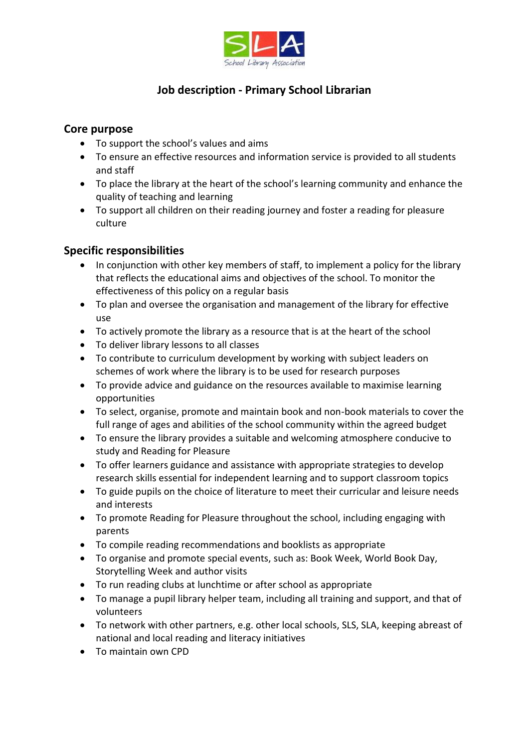

## **Job description - Primary School Librarian**

## **Core purpose**

- To support the school's values and aims
- To ensure an effective resources and information service is provided to all students and staff
- To place the library at the heart of the school's learning community and enhance the quality of teaching and learning
- To support all children on their reading journey and foster a reading for pleasure culture

## **Specific responsibilities**

- In conjunction with other key members of staff, to implement a policy for the library that reflects the educational aims and objectives of the school. To monitor the effectiveness of this policy on a regular basis
- To plan and oversee the organisation and management of the library for effective use
- To actively promote the library as a resource that is at the heart of the school
- To deliver library lessons to all classes
- To contribute to curriculum development by working with subject leaders on schemes of work where the library is to be used for research purposes
- To provide advice and guidance on the resources available to maximise learning opportunities
- To select, organise, promote and maintain book and non-book materials to cover the full range of ages and abilities of the school community within the agreed budget
- To ensure the library provides a suitable and welcoming atmosphere conducive to study and Reading for Pleasure
- To offer learners guidance and assistance with appropriate strategies to develop research skills essential for independent learning and to support classroom topics
- To guide pupils on the choice of literature to meet their curricular and leisure needs and interests
- To promote Reading for Pleasure throughout the school, including engaging with parents
- To compile reading recommendations and booklists as appropriate
- To organise and promote special events, such as: Book Week, World Book Day, Storytelling Week and author visits
- To run reading clubs at lunchtime or after school as appropriate
- To manage a pupil library helper team, including all training and support, and that of volunteers
- To network with other partners, e.g. other local schools, SLS, SLA, keeping abreast of national and local reading and literacy initiatives
- To maintain own CPD